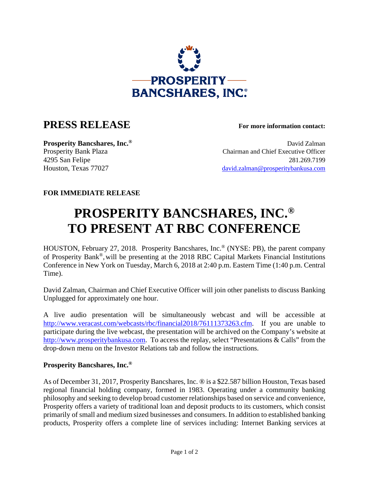

## **PRESS RELEASE For more information contact:**

**Prosperity Bancshares, Inc.<sup>®</sup> David Zalman** Prosperity Bank Plaza Chairman and Chief Executive Officer 4295 San Felipe 281.269.7199 Houston, Texas 77027 david.zalman@prosperitybankusa.com

## **FOR IMMEDIATE RELEASE**

## **PROSPERITY BANCSHARES, INC.® TO PRESENT AT RBC CONFERENCE**

HOUSTON, February 27, 2018. Prosperity Bancshares, Inc.® (NYSE: PB), the parent company of Prosperity Bank®,will be presenting at the 2018 RBC Capital Markets Financial Institutions Conference in New York on Tuesday, March 6, 2018 at 2:40 p.m. Eastern Time (1:40 p.m. Central Time).

David Zalman, Chairman and Chief Executive Officer will join other panelists to discuss Banking Unplugged for approximately one hour.

A live audio presentation will be simultaneously webcast and will be accessible at http://www.veracast.com/webcasts/rbc/financial2018/76111373263.cfm. If you are unable to participate during the live webcast, the presentation will be archived on the Company's website at http://www.prosperitybankusa.com. To access the replay, select "Presentations & Calls" from the drop-down menu on the Investor Relations tab and follow the instructions.

## **Prosperity Bancshares, Inc.®**

As of December 31, 2017, Prosperity Bancshares, Inc. ® is a \$22.587 billion Houston, Texas based regional financial holding company, formed in 1983. Operating under a community banking philosophy and seeking to develop broad customer relationships based on service and convenience, Prosperity offers a variety of traditional loan and deposit products to its customers, which consist primarily of small and medium sized businesses and consumers. In addition to established banking products, Prosperity offers a complete line of services including: Internet Banking services at